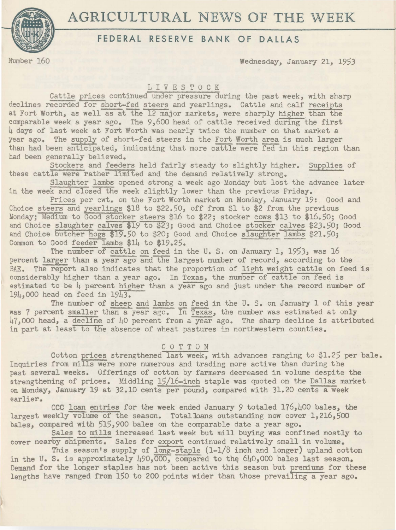



# **FEDERAL RESERVE BANK OF DALLAS**

Number 160 Wednesday, January 21, 1953

L I V E S T 0 C K

Cattle prices continued under pressure during the past week, with sharp declines recorded for short-fed steers and yearlings. Cattle and calf receipts at Fort Worth, as well as at the 12 major markets, were sharply higher than the comparable week a year ago. The  $9,600$  head of cattle received during the first 4 days of last week at Fort Worth was nearly twice the number on that market a year ago. The supply of short-fed steers in the Fort Worth area is much larger than had been anticipated, indicating that more cattle were fed in this region than had been generally believed.

Stockers and feeders held fairly steady to slightly higher. Supplies of these cattle were rather limited and the demand relatively strong.

Slaughter lambs opened strong a week ago Monday but lost the advance later in the week and closed the week slightly lower than the previous Friday.

Prices per cwt. on the Fort Worth market on Monday, January 19:. Good and Choice steers and yearlings \$18 to \$22.50, off from \$1 to \$2 from the previous Monday; Medium to Good stocker steers \$16 to \$22; stocker cows \$13 to \$16.50; Good and Choice slaughter calves \$19 to \$23; Good and Choice stocker calves \$23.50; Good and Choice butcher hogs \$19.50 to \$20; Good and Choice slaughter lambs \$21.50; Common to Good feeder lambs \$14 to \$19.25.

The number of cattle on feed in the U.S. on January 1, 1953, was 16 percent larger than a year ago and the largest number of record, according to the BAE. The report also indicates that the proportion of light weight cattle on feed is considerably higher than a year ago. In Texas, the number of cattle on feed is estimated to be  $\mu$  percent higher than a year-ago and just under the record number of 194,000 head on feed in 1943.

The number of sheep and lambs on feed in the U. S. on January 1 of this year was 7 percent smaller than a year  $\overline{ap}$ ,  $\overline{In}$  Texas, the number was estimated at only  $47,000$  head, a decline of  $40$  percent from a year ago. The sharp decline is attributed in part at least to the absence of wheat pastures in northwestern counties.

#### C 0 T T 0 N

Cotton prices strengthened last week, with advances ranging to \$1.25 per bale. Inquiries from mills were more numerous and trading more active than during the past several weeks. Offerings of cotton by farmers decreased in volume despite the strengthening of prices. Middling 15/16-inch staple was quoted on the Dallas market on Monday, January 19 at 32.10 cents per pound, compared with 31.20 cents a week earlier.

CCC loan entries for the week ended January *9* totaled 176,400 bales, the largest weekly volume of the season. Totalloans outstanding now cover 1,216,500 bales, compared with 515,900 bales on the comparable date a year ago.

Sales to mills increased last week but mill buying was confined mostly to cover nearby shipments. Sales for export continued relatively small in volume.

This season's supply of  $long-staple (1-1/8)$  inch and longer) upland cotton in the U. S. is approximately  $490,000$ , compared to the  $640,000$  bales last season. Demand for the longer staples has not been active this season but premiums for these lengths have ranged from 150 to 200 points wider than those prevailing a year ago.